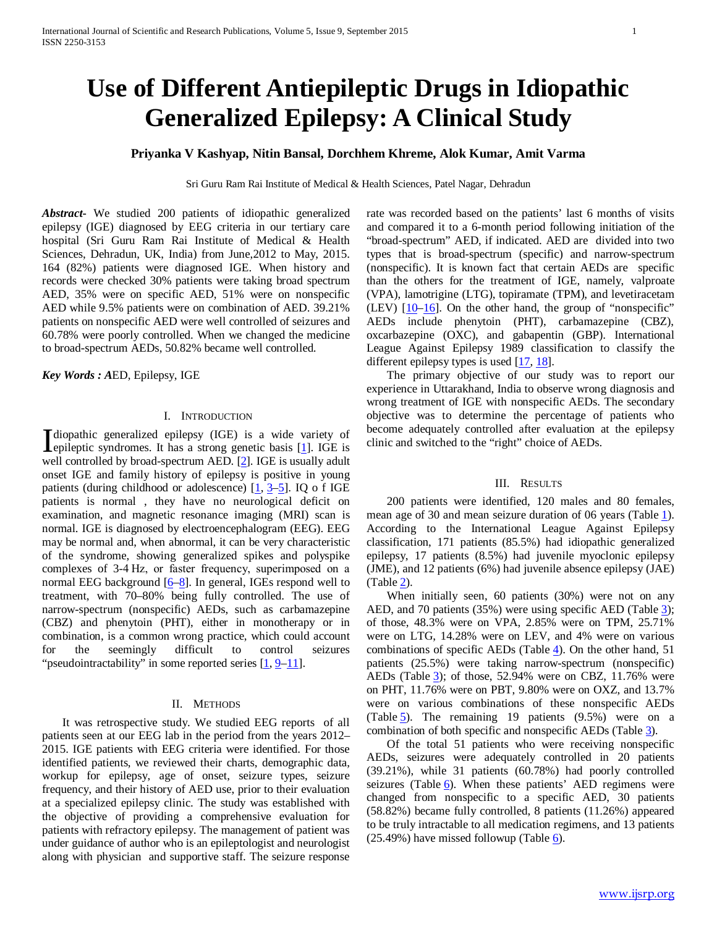# **Use of Different Antiepileptic Drugs in Idiopathic Generalized Epilepsy: A Clinical Study**

# **Priyanka V Kashyap, Nitin Bansal, Dorchhem Khreme, Alok Kumar, Amit Varma**

Sri Guru Ram Rai Institute of Medical & Health Sciences, Patel Nagar, Dehradun

*Abstract***-** We studied 200 patients of idiopathic generalized epilepsy (IGE) diagnosed by EEG criteria in our tertiary care hospital (Sri Guru Ram Rai Institute of Medical & Health Sciences, Dehradun, UK, India) from June,2012 to May, 2015. 164 (82%) patients were diagnosed IGE. When history and records were checked 30% patients were taking broad spectrum AED, 35% were on specific AED, 51% were on nonspecific AED while 9.5% patients were on combination of AED. 39.21% patients on nonspecific AED were well controlled of seizures and 60.78% were poorly controlled. When we changed the medicine to broad-spectrum AEDs, 50.82% became well controlled.

*Key Words : A*ED, Epilepsy, IGE

## I. INTRODUCTION

diopathic generalized epilepsy (IGE) is a wide variety of Idiopathic generalized epilepsy (IGE) is a wide variety of epileptic syndromes. It has a strong genetic basis [\[1\]](http://www.hindawi.com/journals/ert/2015/184928/). IGE is well controlled by broad-spectrum AED. [\[2\]](http://www.hindawi.com/journals/ert/2015/184928/). IGE is usually adult onset IGE and family history of epilepsy is positive in young patients (during childhood or adolescence)  $[1, 3-5]$  $[1, 3-5]$ . IQ o f IGE patients is normal , they have no neurological deficit on examination, and magnetic resonance imaging (MRI) scan is normal. IGE is diagnosed by electroencephalogram (EEG). EEG may be normal and, when abnormal, it can be very characteristic of the syndrome, showing generalized spikes and polyspike complexes of 3-4 Hz, or faster frequency, superimposed on a normal EEG background [\[6–8\]](http://www.hindawi.com/journals/ert/2015/184928/). In general, IGEs respond well to treatment, with 70–80% being fully controlled. The use of narrow-spectrum (nonspecific) AEDs, such as carbamazepine (CBZ) and phenytoin (PHT), either in monotherapy or in combination, is a common wrong practice, which could account for the seemingly difficult to control seizures "pseudointractability" in some reported series  $[1, 9-11]$  $[1, 9-11]$ .

## II. METHODS

 It was retrospective study. We studied EEG reports of all patients seen at our EEG lab in the period from the years 2012– 2015. IGE patients with EEG criteria were identified. For those identified patients, we reviewed their charts, demographic data, workup for epilepsy, age of onset, seizure types, seizure frequency, and their history of AED use, prior to their evaluation at a specialized epilepsy clinic. The study was established with the objective of providing a comprehensive evaluation for patients with refractory epilepsy. The management of patient was under guidance of author who is an epileptologist and neurologist along with physician and supportive staff. The seizure response

rate was recorded based on the patients' last 6 months of visits and compared it to a 6-month period following initiation of the "broad-spectrum" AED, if indicated. AED are divided into two types that is broad-spectrum (specific) and narrow-spectrum (nonspecific). It is known fact that certain AEDs are specific than the others for the treatment of IGE, namely, valproate (VPA), lamotrigine (LTG), topiramate (TPM), and levetiracetam (LEV)  $[10-16]$ . On the other hand, the group of "nonspecific" AEDs include phenytoin (PHT), carbamazepine (CBZ), oxcarbazepine (OXC), and gabapentin (GBP). International League Against Epilepsy 1989 classification to classify the different epilepsy types is used  $[17, 18]$  $[17, 18]$  $[17, 18]$ .

 The primary objective of our study was to report our experience in Uttarakhand, India to observe wrong diagnosis and wrong treatment of IGE with nonspecific AEDs. The secondary objective was to determine the percentage of patients who become adequately controlled after evaluation at the epilepsy clinic and switched to the "right" choice of AEDs.

# III. RESULTS

 200 patients were identified, 120 males and 80 females, mean age of 30 and mean seizure duration of 06 years (Table [1\)](http://www.hindawi.com/journals/ert/2015/184928/tab1/). According to the International League Against Epilepsy classification, 171 patients (85.5%) had idiopathic generalized epilepsy, 17 patients (8.5%) had juvenile myoclonic epilepsy (JME), and 12 patients (6%) had juvenile absence epilepsy (JAE) (Table [2\)](http://www.hindawi.com/journals/ert/2015/184928/tab2/).

 When initially seen, 60 patients (30%) were not on any AED, and 70 patients (35%) were using specific AED (Table [3\)](http://www.hindawi.com/journals/ert/2015/184928/tab3/); of those, 48.3% were on VPA, 2.85% were on TPM, 25.71% were on LTG, 14.28% were on LEV, and 4% were on various combinations of specific AEDs (Table  $\frac{4}{1}$ ). On the other hand, 51 patients (25.5%) were taking narrow-spectrum (nonspecific) AEDs (Table [3\)](http://www.hindawi.com/journals/ert/2015/184928/tab3/); of those, 52.94% were on CBZ, 11.76% were on PHT, 11.76% were on PBT, 9.80% were on OXZ, and 13.7% were on various combinations of these nonspecific AEDs (Table [5\)](http://www.hindawi.com/journals/ert/2015/184928/tab5/). The remaining 19 patients (9.5%) were on a combination of both specific and nonspecific AEDs (Table [3\)](http://www.hindawi.com/journals/ert/2015/184928/tab3/).

 Of the total 51 patients who were receiving nonspecific AEDs, seizures were adequately controlled in 20 patients (39.21%), while 31 patients (60.78%) had poorly controlled seizures (Table  $6$ ). When these patients' AED regimens were changed from nonspecific to a specific AED, 30 patients (58.82%) became fully controlled, 8 patients (11.26%) appeared to be truly intractable to all medication regimens, and 13 patients (25.49%) have missed followup (Table [6\)](http://www.hindawi.com/journals/ert/2015/184928/tab6/).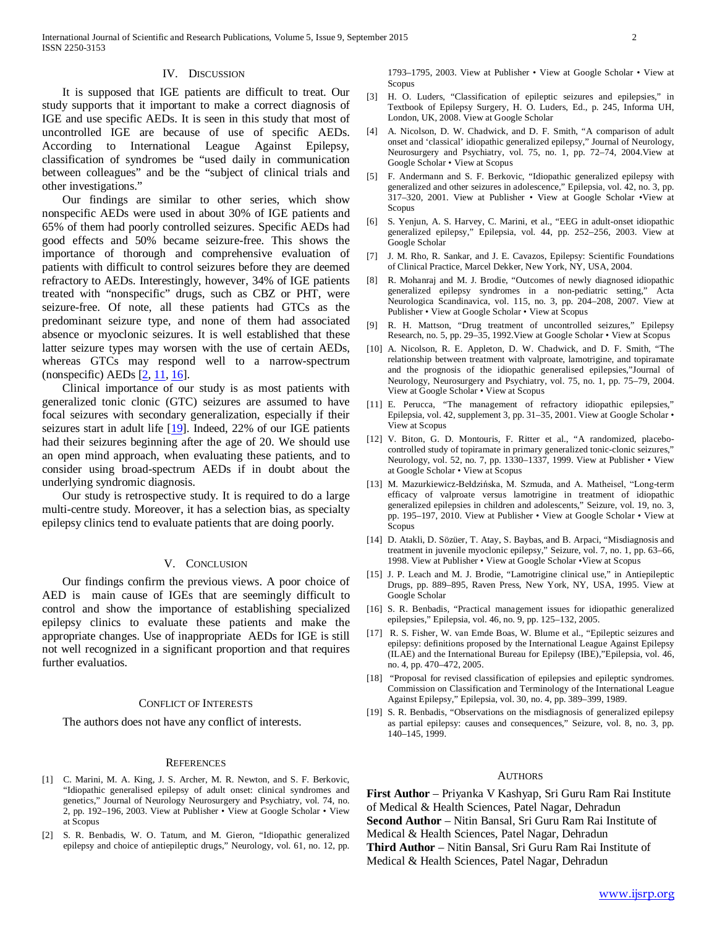#### IV. DISCUSSION

 It is supposed that IGE patients are difficult to treat. Our study supports that it important to make a correct diagnosis of IGE and use specific AEDs. It is seen in this study that most of uncontrolled IGE are because of use of specific AEDs. According to International League Against Epilepsy, classification of syndromes be "used daily in communication between colleagues" and be the "subject of clinical trials and other investigations."

 Our findings are similar to other series, which show nonspecific AEDs were used in about 30% of IGE patients and 65% of them had poorly controlled seizures. Specific AEDs had good effects and 50% became seizure-free. This shows the importance of thorough and comprehensive evaluation of patients with difficult to control seizures before they are deemed refractory to AEDs. Interestingly, however, 34% of IGE patients treated with "nonspecific" drugs, such as CBZ or PHT, were seizure-free. Of note, all these patients had GTCs as the predominant seizure type, and none of them had associated absence or myoclonic seizures. It is well established that these latter seizure types may worsen with the use of certain AEDs, whereas GTCs may respond well to a narrow-spectrum (nonspecific) AEDs [\[2,](http://www.hindawi.com/journals/ert/2015/184928/) [11,](http://www.hindawi.com/journals/ert/2015/184928/) [16\]](http://www.hindawi.com/journals/ert/2015/184928/).

 Clinical importance of our study is as most patients with generalized tonic clonic (GTC) seizures are assumed to have focal seizures with secondary generalization, especially if their seizures start in adult life [\[19\]](http://www.hindawi.com/journals/ert/2015/184928/). Indeed, 22% of our IGE patients had their seizures beginning after the age of 20. We should use an open mind approach, when evaluating these patients, and to consider using broad-spectrum AEDs if in doubt about the underlying syndromic diagnosis.

 Our study is retrospective study. It is required to do a large multi-centre study. Moreover, it has a selection bias, as specialty epilepsy clinics tend to evaluate patients that are doing poorly.

## V. CONCLUSION

 Our findings confirm the previous views. A poor choice of AED is main cause of IGEs that are seemingly difficult to control and show the importance of establishing specialized epilepsy clinics to evaluate these patients and make the appropriate changes. Use of inappropriate AEDs for IGE is still not well recognized in a significant proportion and that requires further evaluatios.

#### CONFLICT OF INTERESTS

The authors does not have any conflict of interests.

#### **REFERENCES**

- [1] C. Marini, M. A. King, J. S. Archer, M. R. Newton, and S. F. Berkovic, "Idiopathic generalised epilepsy of adult onset: clinical syndromes and genetics," Journal of Neurology Neurosurgery and Psychiatry, vol. 74, no. 2, pp. 192–196, 2003. View at Publisher • View at Google Scholar • View at Scopus
- [2] S. R. Benbadis, W. O. Tatum, and M. Gieron, "Idiopathic generalized epilepsy and choice of antiepileptic drugs," Neurology, vol. 61, no. 12, pp.

1793–1795, 2003. View at Publisher • View at Google Scholar • View at Scopus

- [3] H. O. Luders, "Classification of epileptic seizures and epilepsies," in Textbook of Epilepsy Surgery, H. O. Luders, Ed., p. 245, Informa UH, London, UK, 2008. View at Google Scholar
- [4] A. Nicolson, D. W. Chadwick, and D. F. Smith, "A comparison of adult onset and 'classical' idiopathic generalized epilepsy," Journal of Neurology, Neurosurgery and Psychiatry, vol. 75, no. 1, pp. 72–74, 2004.View at Google Scholar • View at Scopus
- [5] F. Andermann and S. F. Berkovic, "Idiopathic generalized epilepsy with generalized and other seizures in adolescence," Epilepsia, vol. 42, no. 3, pp. 317–320, 2001. View at Publisher • View at Google Scholar •View at **Scopus**
- [6] S. Yenjun, A. S. Harvey, C. Marini, et al., "EEG in adult-onset idiopathic generalized epilepsy," Epilepsia, vol. 44, pp. 252–256, 2003. View at Google Scholar
- [7] J. M. Rho, R. Sankar, and J. E. Cavazos, Epilepsy: Scientific Foundations of Clinical Practice, Marcel Dekker, New York, NY, USA, 2004.
- [8] R. Mohanraj and M. J. Brodie, "Outcomes of newly diagnosed idiopathic generalized epilepsy syndromes in a non-pediatric setting," Acta Neurologica Scandinavica, vol. 115, no. 3, pp. 204–208, 2007. View at Publisher • View at Google Scholar • View at Scopus
- [9] R. H. Mattson, "Drug treatment of uncontrolled seizures," Epilepsy Research, no. 5, pp. 29–35, 1992.View at Google Scholar • View at Scopus
- [10] A. Nicolson, R. E. Appleton, D. W. Chadwick, and D. F. Smith, "The relationship between treatment with valproate, lamotrigine, and topiramate and the prognosis of the idiopathic generalised epilepsies,"Journal of Neurology, Neurosurgery and Psychiatry, vol. 75, no. 1, pp. 75–79, 2004. View at Google Scholar • View at Scopus
- [11] E. Perucca, "The management of refractory idiopathic epilepsies," Epilepsia, vol. 42, supplement 3, pp. 31–35, 2001. View at Google Scholar • View at Scopus
- [12] V. Biton, G. D. Montouris, F. Ritter et al., "A randomized, placebocontrolled study of topiramate in primary generalized tonic-clonic seizures," Neurology, vol. 52, no. 7, pp. 1330–1337, 1999. View at Publisher • View at Google Scholar • View at Scopus
- [13] M. Mazurkiewicz-Bełdzińska, M. Szmuda, and A. Matheisel, "Long-term efficacy of valproate versus lamotrigine in treatment of idiopathic generalized epilepsies in children and adolescents," Seizure, vol. 19, no. 3, pp. 195–197, 2010. View at Publisher • View at Google Scholar • View at Scopus
- [14] D. Atakli, D. Sözüer, T. Atay, S. Baybas, and B. Arpaci, "Misdiagnosis and treatment in juvenile myoclonic epilepsy," Seizure, vol. 7, no. 1, pp. 63–66, 1998. View at Publisher • View at Google Scholar •View at Scopus
- [15] J. P. Leach and M. J. Brodie, "Lamotrigine clinical use," in Antiepileptic Drugs, pp. 889–895, Raven Press, New York, NY, USA, 1995. View at Google Scholar
- [16] S. R. Benbadis, "Practical management issues for idiopathic generalized epilepsies," Epilepsia, vol. 46, no. 9, pp. 125–132, 2005.
- [17] R. S. Fisher, W. van Emde Boas, W. Blume et al., "Epileptic seizures and epilepsy: definitions proposed by the International League Against Epilepsy (ILAE) and the International Bureau for Epilepsy (IBE),"Epilepsia, vol. 46, no. 4, pp. 470–472, 2005.
- [18] "Proposal for revised classification of epilepsies and epileptic syndromes. Commission on Classification and Terminology of the International League Against Epilepsy," Epilepsia, vol. 30, no. 4, pp. 389–399, 1989.
- [19] S. R. Benbadis, "Observations on the misdiagnosis of generalized epilepsy as partial epilepsy: causes and consequences," Seizure, vol. 8, no. 3, pp. 140–145, 1999.

### **AUTHORS**

**First Author** – Priyanka V Kashyap, Sri Guru Ram Rai Institute of Medical & Health Sciences, Patel Nagar, Dehradun **Second Author** – Nitin Bansal, Sri Guru Ram Rai Institute of Medical & Health Sciences, Patel Nagar, Dehradun **Third Author** – Nitin Bansal, Sri Guru Ram Rai Institute of Medical & Health Sciences, Patel Nagar, Dehradun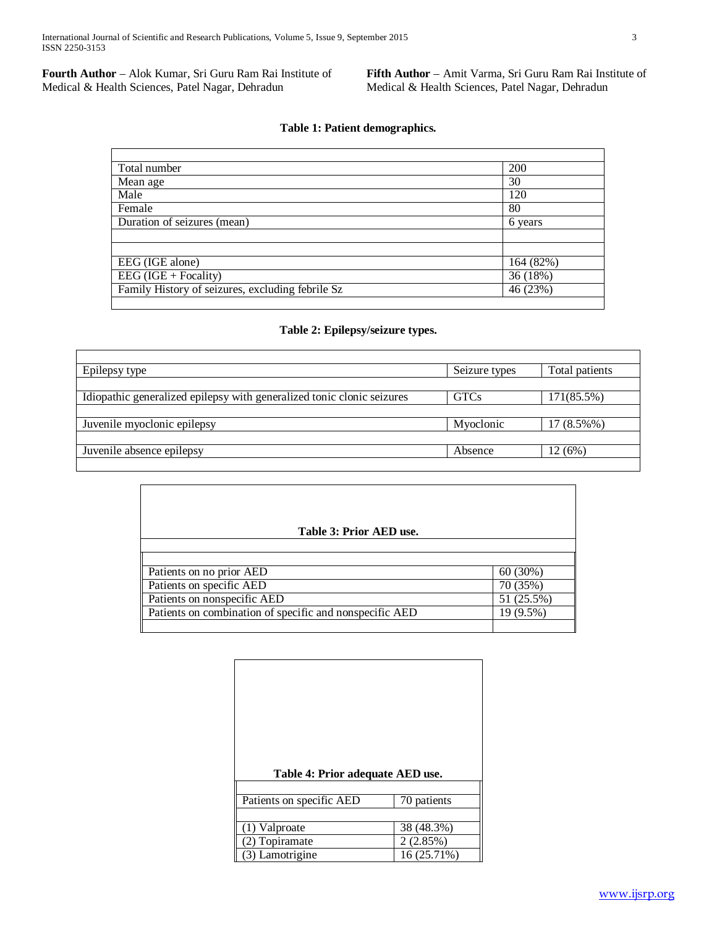**Fourth Author** – Alok Kumar, Sri Guru Ram Rai Institute of Medical & Health Sciences, Patel Nagar, Dehradun

**Fifth Author** – Amit Varma, Sri Guru Ram Rai Institute of Medical & Health Sciences, Patel Nagar, Dehradun

# **Table 1: Patient demographics.**

| Total number                                     | 200       |
|--------------------------------------------------|-----------|
| Mean age                                         | 30        |
| Male                                             | 120       |
| Female                                           | 80        |
| Duration of seizures (mean)                      | 6 years   |
|                                                  |           |
|                                                  |           |
| EEG (IGE alone)                                  | 164 (82%) |
| EEG $(IGE + Focality)$                           | 36 (18%)  |
| Family History of seizures, excluding febrile Sz | 46 (23%)  |
|                                                  |           |

# **Table 2: Epilepsy/seizure types.**

| Epilepsy type                                                          | Seizure types | Total patients |
|------------------------------------------------------------------------|---------------|----------------|
|                                                                        |               |                |
| Idiopathic generalized epilepsy with generalized tonic clonic seizures | <b>GTCs</b>   | 171(85.5%)     |
|                                                                        |               |                |
| Juvenile myoclonic epilepsy                                            | Myoclonic     | 17 (8.5%%)     |
|                                                                        |               |                |
| Juvenile absence epilepsy                                              | Absence       | 12(6%)         |
|                                                                        |               |                |

| Table 3: Prior AED use.                                 |            |  |
|---------------------------------------------------------|------------|--|
|                                                         |            |  |
|                                                         |            |  |
| Patients on no prior AED                                | 60(30%)    |  |
| Patients on specific AED                                | 70 (35%)   |  |
| Patients on nonspecific AED                             | 51 (25.5%) |  |
| Patients on combination of specific and nonspecific AED | 19 (9.5%)  |  |
|                                                         |            |  |

| Table 4: Prior adequate AED use. |             |
|----------------------------------|-------------|
| Patients on specific AED         | 70 patients |
|                                  |             |
| (1) Valproate                    | 38 (48.3%)  |
| (2) Topiramate                   | 2(2.85%)    |
| (3) Lamotrigine                  | 16 (25.71%) |